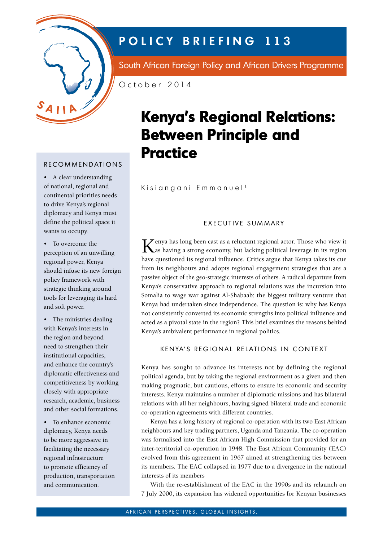

# **POLICY BRIEFING 113**

South African Foreign Policy and African Drivers Programme

October 2014

# **Kenya's Regional Relations: Between Principle and Practice**

Kisiangani Emmanuel<sup>1</sup>

## EXECUTIVE SUMMARY

Kenya has long been cast as a reluctant regional actor. Those who view it as having a strong economy, but lacking political leverage in its region have questioned its regional influence. Critics argue that Kenya takes its cue from its neighbours and adopts regional engagement strategies that are a passive object of the geo-strategic interests of others. A radical departure from Kenya's conservative approach to regional relations was the incursion into Somalia to wage war against Al-Shabaab; the biggest military venture that Kenya had undertaken since independence. The question is: why has Kenya not consistently converted its economic strengths into political influence and acted as a pivotal state in the region? This brief examines the reasons behind Kenya's ambivalent performance in regional politics.

### KFNYA'S REGIONAL RELATIONS IN CONTEXT

Kenya has sought to advance its interests not by defining the regional political agenda, but by taking the regional environment as a given and then making pragmatic, but cautious, efforts to ensure its economic and security interests. Kenya maintains a number of diplomatic missions and has bilateral relations with all her neighbours, having signed bilateral trade and economic co-operation agreements with different countries.

Kenya has a long history of regional co-operation with its two East African neighbours and key trading partners, Uganda and Tanzania. The co-operation was formalised into the East African High Commission that provided for an inter-territorial co-operation in 1948. The East African Community (EAC) evolved from this agreement in 1967 aimed at strengthening ties between its members. The EAC collapsed in 1977 due to a divergence in the national interests of its members

With the re-establishment of the EAC in the 1990s and its relaunch on 7 July 2000, its expansion has widened opportunities for Kenyan businesses

#### **RECOMMENDATIONS**

• A clear understanding of national, regional and continental priorities needs to drive Kenya's regional diplomacy and Kenya must define the political space it wants to occupy.

• To overcome the perception of an unwilling regional power, Kenya should infuse its new foreign policy framework with strategic thinking around tools for leveraging its hard and soft power.

• The ministries dealing with Kenya's interests in the region and beyond need to strengthen their institutional capacities, and enhance the country's diplomatic effectiveness and competitiveness by working closely with appropriate research, academic, business and other social formations.

• To enhance economic diplomacy, Kenya needs to be more aggressive in facilitating the necessary regional infrastructure to promote efficiency of production, transportation and communication.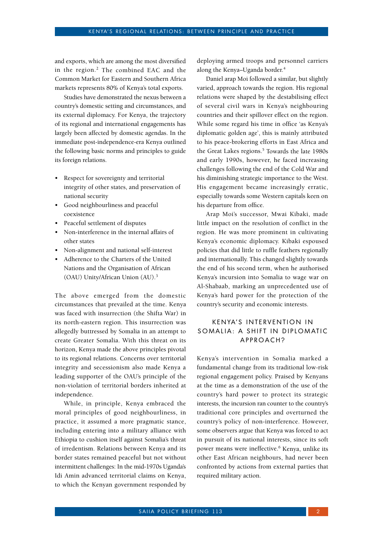and exports, which are among the most diversified in the region.<sup>2</sup> The combined EAC and the Common Market for Eastern and Southern Africa markets represents 80% of Kenya's total exports.

Studies have demonstrated the nexus between a country's domestic setting and circumstances, and its external diplomacy. For Kenya, the trajectory of its regional and international engagements has largely been affected by domestic agendas. In the immediate post-independence-era Kenya outlined the following basic norms and principles to guide its foreign relations.

- Respect for sovereignty and territorial integrity of other states, and preservation of national security
- Good neighbourliness and peaceful coexistence
- Peaceful settlement of disputes
- Non-interference in the internal affairs of other states
- Non-alignment and national self-interest
- Adherence to the Charters of the United Nations and the Organisation of African (OAU) Unity/African Union (AU).<sup>3</sup>

The above emerged from the domestic circumstances that prevailed at the time. Kenya was faced with insurrection (the Shifta War) in its north-eastern region. This insurrection was allegedly buttressed by Somalia in an attempt to create Greater Somalia. With this threat on its horizon, Kenya made the above principles pivotal to its regional relations. Concerns over territorial integrity and secessionism also made Kenya a leading supporter of the OAU's principle of the non-violation of territorial borders inherited at independence.

While, in principle, Kenya embraced the moral principles of good neighbourliness, in practice, it assumed a more pragmatic stance, including entering into a military alliance with Ethiopia to cushion itself against Somalia's threat of irredentism. Relations between Kenya and its border states remained peaceful but not without intermittent challenges: In the mid-1970s Uganda's Idi Amin advanced territorial claims on Kenya, to which the Kenyan government responded by

deploying armed troops and personnel carriers along the Kenya–Uganda border.4

Daniel arap Moi followed a similar, but slightly varied, approach towards the region. His regional relations were shaped by the destabilising effect of several civil wars in Kenya's neighbouring countries and their spillover effect on the region. While some regard his time in office 'as Kenya's diplomatic golden age', this is mainly attributed to his peace-brokering efforts in East Africa and the Great Lakes regions.<sup>5</sup> Towards the late 1980s and early 1990s, however, he faced increasing challenges following the end of the Cold War and his diminishing strategic importance to the West. His engagement became increasingly erratic, especially towards some Western capitals keen on his departure from office.

Arap Moi's successor, Mwai Kibaki, made little impact on the resolution of conflict in the region. He was more prominent in cultivating Kenya's economic diplomacy. Kibaki espoused policies that did little to ruffle feathers regionally and internationally. This changed slightly towards the end of his second term, when he authorised Kenya's incursion into Somalia to wage war on Al-Shabaab, marking an unprecedented use of Kenya's hard power for the protection of the country's security and economic interests.

### KENYA'S INTERVENTION IN SOMALIA: A SHIFT IN DIPLOMATIC APPROACH?

Kenya's intervention in Somalia marked a fundamental change from its traditional low-risk regional engagement policy. Praised by Kenyans at the time as a demonstration of the use of the country's hard power to protect its strategic interests, the incursion ran counter to the country's traditional core principles and overturned the country's policy of non-interference. However, some observers argue that Kenya was forced to act in pursuit of its national interests, since its soft power means were ineffective.<sup>6</sup> Kenya, unlike its other East African neighbours, had never been confronted by actions from external parties that required military action.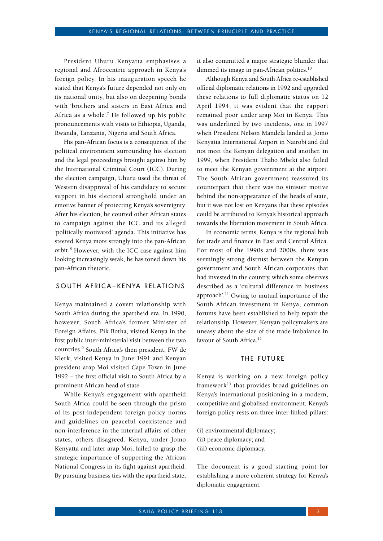President Uhuru Kenyatta emphasises a regional and Afrocentric approach in Kenya's foreign policy. In his inauguration speech he stated that Kenya's future depended not only on its national unity, but also on deepening bonds with 'brothers and sisters in East Africa and Africa as a whole'.<sup>7</sup> He followed up his public pronouncements with visits to Ethiopia, Uganda, Rwanda, Tanzania, Nigeria and South Africa.

His pan-African focus is a consequence of the political environment surrounding his election and the legal proceedings brought against him by the International Criminal Court (ICC). During the election campaign, Uhuru used the threat of Western disapproval of his candidacy to secure support in his electoral stronghold under an emotive banner of protecting Kenya's sovereignty. After his election, he courted other African states to campaign against the ICC and its alleged 'politically motivated' agenda. This initiative has steered Kenya more strongly into the pan-African orbit.<sup>8</sup> However, with the ICC case against him looking increasingly weak, he has toned down his pan-African rhetoric.

#### SOUTH AFRICA-KENYA RELATIONS

Kenya maintained a covert relationship with South Africa during the apartheid era. In 1990, however, South Africa's former Minister of Foreign Affairs, Pik Botha, visited Kenya in the first public inter-ministerial visit between the two countries.<sup>9</sup> South Africa's then president, FW de Klerk, visited Kenya in June 1991 and Kenyan president arap Moi visited Cape Town in June 1992 – the first official visit to South Africa by a prominent African head of state.

While Kenya's engagement with apartheid South Africa could be seen through the prism of its post-independent foreign policy norms and guidelines on peaceful coexistence and non-interference in the internal affairs of other states, others disagreed. Kenya, under Jomo Kenyatta and later arap Moi, failed to grasp the strategic importance of supporting the African National Congress in its fight against apartheid. By pursuing business ties with the apartheid state, it also committed a major strategic blunder that dimmed its image in pan-African politics.<sup>10</sup>

Although Kenya and South Africa re-established official diplomatic relations in 1992 and upgraded these relations to full diplomatic status on 12 April 1994, it was evident that the rapport remained poor under arap Moi in Kenya. This was underlined by two incidents, one in 1997 when President Nelson Mandela landed at Jomo Kenyatta International Airport in Nairobi and did not meet the Kenyan delegation and another, in 1999, when President Thabo Mbeki also failed to meet the Kenyan government at the airport. The South African government reassured its counterpart that there was no sinister motive behind the non-appearance of the heads of state, but it was not lost on Kenyans that these episodes could be attributed to Kenya's historical approach towards the liberation movement in South Africa.

In economic terms, Kenya is the regional hub for trade and finance in East and Central Africa. For most of the 1990s and 2000s, there was seemingly strong distrust between the Kenyan government and South African corporates that had invested in the country, which some observes described as a 'cultural difference in business approach'.11 Owing to mutual importance of the South African investment in Kenya, common forums have been established to help repair the relationship. However, Kenyan policymakers are uneasy about the size of the trade imbalance in favour of South Africa.12

#### THE FUTURE

Kenya is working on a new foreign policy framework $^{13}$  that provides broad guidelines on Kenya's international positioning in a modern, competitive and globalised environment. Kenya's foreign policy rests on three inter-linked pillars:

- (i) environmental diplomacy;
- (ii) peace diplomacy; and
- (iii) economic diplomacy.

The document is a good starting point for establishing a more coherent strategy for Kenya's diplomatic engagement.